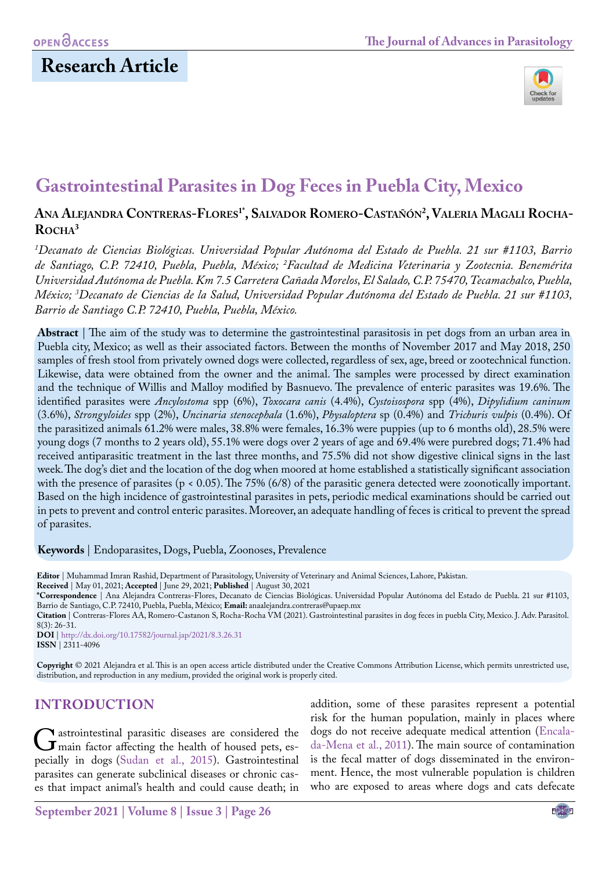

# **Gastrointestinal Parasites in Dog Feces in Puebla City, Mexico**

### **Ana Alejandra Contreras-Flores1\*, Salvador Romero-Castañón2 , Valeria Magali Rocha-**ROCHA<sup>3</sup>

*1 Decanato de Ciencias Biológicas. Universidad Popular Autónoma del Estado de Puebla. 21 sur #1103, Barrio de Santiago, C.P. 72410, Puebla, Puebla, México; 2 Facultad de Medicina Veterinaria y Zootecnia. Benemérita Universidad Autónoma de Puebla. Km 7.5 Carretera Cañada Morelos, El Salado, C.P. 75470, Tecamachalco, Puebla, México; 3 Decanato de Ciencias de la Salud, Universidad Popular Autónoma del Estado de Puebla. 21 sur #1103, Barrio de Santiago C.P. 72410, Puebla, Puebla, México.*

**Abstract** | The aim of the study was to determine the gastrointestinal parasitosis in pet dogs from an urban area in Puebla city, Mexico; as well as their associated factors. Between the months of November 2017 and May 2018, 250 samples of fresh stool from privately owned dogs were collected, regardless of sex, age, breed or zootechnical function. Likewise, data were obtained from the owner and the animal. The samples were processed by direct examination and the technique of Willis and Malloy modified by Basnuevo. The prevalence of enteric parasites was 19.6%. The identified parasites were *Ancylostoma* spp (6%), *Toxocara canis* (4.4%), *Cystoisospora* spp (4%), *Dipylidium caninum* (3.6%), *Strongyloides* spp (2%), *Uncinaria stenocephala* (1.6%), *Physaloptera* sp (0.4%) and *Trichuris vulpis* (0.4%). Of the parasitized animals 61.2% were males, 38.8% were females, 16.3% were puppies (up to 6 months old), 28.5% were young dogs (7 months to 2 years old), 55.1% were dogs over 2 years of age and 69.4% were purebred dogs; 71.4% had received antiparasitic treatment in the last three months, and 75.5% did not show digestive clinical signs in the last week. The dog's diet and the location of the dog when moored at home established a statistically significant association with the presence of parasites (p < 0.05). The 75% (6/8) of the parasitic genera detected were zoonotically important. Based on the high incidence of gastrointestinal parasites in pets, periodic medical examinations should be carried out in pets to prevent and control enteric parasites. Moreover, an adequate handling of feces is critical to prevent the spread of parasites.

**Keywords** | Endoparasites, Dogs, Puebla, Zoonoses, Prevalence

**Editor** | Muhammad Imran Rashid, Department of Parasitology, University of Veterinary and Animal Sciences, Lahore, Pakistan.

**Received** | May 01, 2021; **Accepted** | June 29, 2021; **Published** | August 30, 2021

**\*Correspondence** | Ana Alejandra Contreras-Flores, Decanato de Ciencias Biológicas. Universidad Popular Autónoma del Estado de Puebla. 21 sur #1103, Barrio de Santiago, C.P. 72410, Puebla, Puebla, México; **Email:** anaalejandra.contreras@upaep.mx

**Citation** | Contreras-Flores AA, Romero-Castanon S, Rocha-Rocha VM (2021). Gastrointestinal parasites in dog feces in puebla City, Mexico. J. Adv. Parasitol. 8(3): 26-31.

**DOI** | [http://dx.doi.org/10.17582/journal.jap/20](http://dx.doi.org/10.17582/journal.jap/2021/8.3.26.31)21/8.3.26.31 **ISSN** | 2311-4096

**Copyright** © 2021 Alejandra et al. This is an open access article distributed under the Creative Commons Attribution License, which permits unrestricted use, distribution, and reproduction in any medium, provided the original work is properly cited.

## **INTRODUCTION**

Gastrointestinal parasitic diseases are considered the<br>
main factor affecting the health of housed pets, es-<br>
pecially in doos (Sudan et al. 2015) Gastrointestinal pecially in dogs [\(Sudan et al., 2015\)](#page-5-0). Gastrointestinal parasites can generate subclinical diseases or chronic cases that impact animal's health and could cause death; in

addition, some of these parasites represent a potential risk for the human population, mainly in places where dogs do not receive adequate medical attention (Encalada-Mena et al., 2011). The main source of contamination is the fecal matter of dogs disseminated in the environment. Hence, the most vulnerable population is children who are exposed to areas where dogs and cats defecate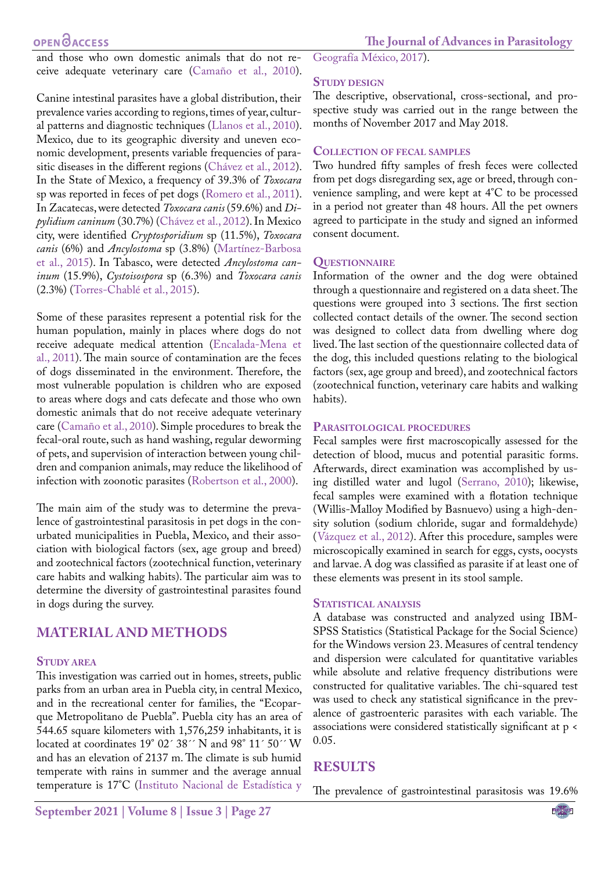### **OPEN**<sub>d</sub>

and those who own domestic animals that do not receive adequate veterinary care (Camaño et al., 2010).

Canine intestinal parasites have a global distribution, their prevalence varies according to regions, times of year, cultural patterns and diagnostic techniques (Llanos et al., 2010). Mexico, due to its geographic diversity and uneven economic development, presents variable frequencies of parasitic diseases in the different regions (Chávez et al., 2012). In the State of Mexico, a frequency of 39.3% of *Toxocara* sp was reported in feces of pet dogs (Romero et al., 2011). In Zacatecas, were detected *Toxocara canis* (59.6%) and *Dipylidium caninum* (30.7%) (Chávez et al., 2012). In Mexico city, were identified *Cryptosporidium* sp (11.5%), *Toxocara canis* (6%) and *Ancylostoma* sp (3.8%) (Martínez-Barbosa et al., 2015). In Tabasco, were detected *Ancylostoma caninum* (15.9%), *Cystoisospora* sp (6.3%) and *Toxocara canis*  (2.3%) (Torres-Chablé et al., 2015).

Some of these parasites represent a potential risk for the human population, mainly in places where dogs do not receive adequate medical attention (Encalada-Mena et al., 2011). The main source of contamination are the feces of dogs disseminated in the environment. Therefore, the most vulnerable population is children who are exposed to areas where dogs and cats defecate and those who own domestic animals that do not receive adequate veterinary care (Camaño et al., 2010). Simple procedures to break the fecal-oral route, such as hand washing, regular deworming of pets, and supervision of interaction between young children and companion animals, may reduce the likelihood of infection with zoonotic parasites [\(Robertson et al., 2000](#page-5-1)).

The main aim of the study was to determine the prevalence of gastrointestinal parasitosis in pet dogs in the conurbated municipalities in Puebla, Mexico, and their association with biological factors (sex, age group and breed) and zootechnical factors (zootechnical function, veterinary care habits and walking habits). The particular aim was to determine the diversity of gastrointestinal parasites found in dogs during the survey.

## **MATERIAL AND METHODS**

#### **Study area**

This investigation was carried out in homes, streets, public parks from an urban area in Puebla city, in central Mexico, and in the recreational center for families, the "Ecoparque Metropolitano de Puebla". Puebla city has an area of 544.65 square kilometers with 1,576,259 inhabitants, it is located at coordinates 19° 02´ 38´ N and 98° 11´ 50´ W and has an elevation of 2137 m. The climate is sub humid temperate with rains in summer and the average annual temperature is 17°C (Instituto Nacional de Estadística y

Geografía México, 2017).

#### **Study design**

The descriptive, observational, cross-sectional, and prospective study was carried out in the range between the months of November 2017 and May 2018.

#### **Collection of fecal samples**

Two hundred fifty samples of fresh feces were collected from pet dogs disregarding sex, age or breed, through convenience sampling, and were kept at 4°C to be processed in a period not greater than 48 hours. All the pet owners agreed to participate in the study and signed an informed consent document.

#### **Questionnaire**

Information of the owner and the dog were obtained through a questionnaire and registered on a data sheet. The questions were grouped into 3 sections. The first section collected contact details of the owner. The second section was designed to collect data from dwelling where dog lived. The last section of the questionnaire collected data of the dog, this included questions relating to the biological factors (sex, age group and breed), and zootechnical factors (zootechnical function, veterinary care habits and walking habits).

#### **Parasitological procedures**

Fecal samples were first macroscopically assessed for the detection of blood, mucus and potential parasitic forms. Afterwards, direct examination was accomplished by using distilled water and lugol [\(Serrano, 2010\)](#page-5-2); likewise, fecal samples were examined with a flotation technique (Willis-Malloy Modified by Basnuevo) using a high-density solution (sodium chloride, sugar and formaldehyde) ([Vázquez et al., 2012](#page-5-3)). After this procedure, samples were microscopically examined in search for eggs, cysts, oocysts and larvae. A dog was classified as parasite if at least one of these elements was present in its stool sample.

#### **Statistical analysis**

A database was constructed and analyzed using IBM-SPSS Statistics (Statistical Package for the Social Science) for the Windows version 23. Measures of central tendency and dispersion were calculated for quantitative variables while absolute and relative frequency distributions were constructed for qualitative variables. The chi-squared test was used to check any statistical significance in the prevalence of gastroenteric parasites with each variable. The associations were considered statistically significant at p < 0.05.

## **RESULTS**

The prevalence of gastrointestinal parasitosis was 19.6%

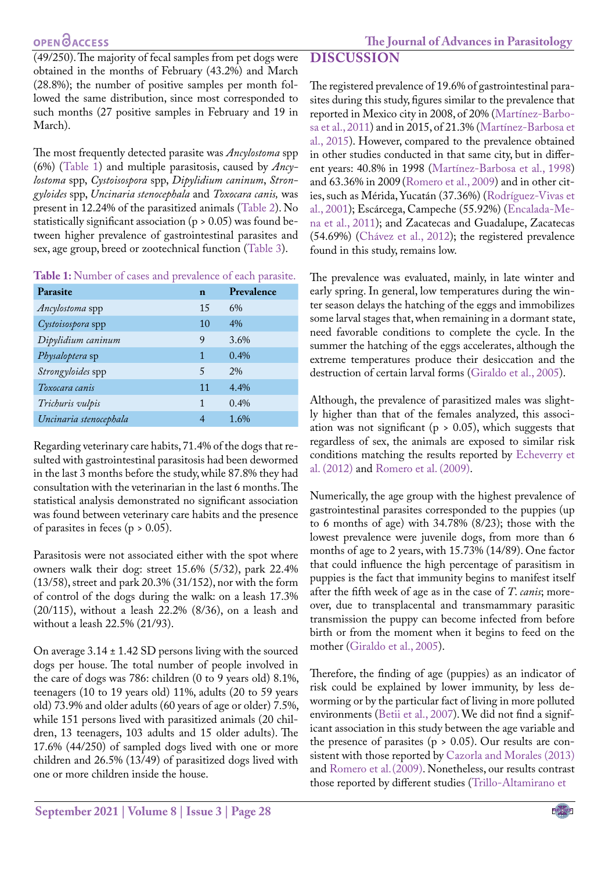## **OPEN**OACCESS

(49/250). The majority of fecal samples from pet dogs were obtained in the months of February (43.2%) and March (28.8%); the number of positive samples per month followed the same distribution, since most corresponded to such months (27 positive samples in February and 19 in March).

The most frequently detected parasite was *Ancylostoma* spp (6%) [\(Table 1](#page-2-0)) and multiple parasitosis, caused by *Ancylostoma* spp, *Cystoisospora* spp, *Dipylidium caninum*, *Strongyloides* spp, *Uncinaria stenocephala* and *Toxocara canis,* was present in 12.24% of the parasitized animals ([Table 2\)](#page-3-0). No statistically significant association (p > 0.05) was found between higher prevalence of gastrointestinal parasites and sex, age group, breed or zootechnical function [\(Table 3](#page-3-1)).

<span id="page-2-0"></span>**Table 1:** Number of cases and prevalence of each parasite.

| Parasite               | n  | Prevalence |
|------------------------|----|------------|
| Ancylostoma spp        | 15 | 6%         |
| Cystoisospora spp      | 10 | $4\%$      |
| Dipylidium caninum     | 9  | 3.6%       |
| Physaloptera sp        | 1  | 0.4%       |
| Strongyloides spp      | 5  | $2\%$      |
| Toxocara canis         | 11 | $4.4\%$    |
| Trichuris vulpis       | 1  | 0.4%       |
| Uncinaria stenocephala | 4  | 1.6%       |

Regarding veterinary care habits, 71.4% of the dogs that resulted with gastrointestinal parasitosis had been dewormed in the last 3 months before the study, while 87.8% they had consultation with the veterinarian in the last 6 months. The statistical analysis demonstrated no significant association was found between veterinary care habits and the presence of parasites in feces ( $p > 0.05$ ).

Parasitosis were not associated either with the spot where owners walk their dog: street 15.6% (5/32), park 22.4% (13/58), street and park 20.3% (31/152), nor with the form of control of the dogs during the walk: on a leash 17.3% (20/115), without a leash 22.2% (8/36), on a leash and without a leash 22.5% (21/93).

On average 3.14 ± 1.42 SD persons living with the sourced dogs per house. The total number of people involved in the care of dogs was 786: children (0 to 9 years old) 8.1%, teenagers (10 to 19 years old) 11%, adults (20 to 59 years old) 73.9% and older adults (60 years of age or older) 7.5%, while 151 persons lived with parasitized animals (20 children, 13 teenagers, 103 adults and 15 older adults). The 17.6% (44/250) of sampled dogs lived with one or more children and 26.5% (13/49) of parasitized dogs lived with one or more children inside the house.

# **DISCUSSION**

The registered prevalence of 19.6% of gastrointestinal parasites during this study, figures similar to the prevalence that reported in Mexico city in 2008, of 20% (Martínez-Barbosa et al., 2011) and in 2015, of 21.3% (Martínez-Barbosa et al., 2015). However, compared to the prevalence obtained in other studies conducted in that same city, but in different years: 40.8% in 1998 (Martínez-Barbosa et al., 1998) and 63.36% in 2009 (Romero et al., 2009) and in other cities, such as Mérida, Yucatán (37.36%) (Rodríguez-Vivas et al., 2001); Escárcega, Campeche (55.92%) (Encalada-Mena et al., 2011); and Zacatecas and Guadalupe, Zacatecas (54.69%) (Chávez et al., 2012); the registered prevalence found in this study, remains low.

The prevalence was evaluated, mainly, in late winter and early spring. In general, low temperatures during the winter season delays the hatching of the eggs and immobilizes some larval stages that, when remaining in a dormant state, need favorable conditions to complete the cycle. In the summer the hatching of the eggs accelerates, although the extreme temperatures produce their desiccation and the destruction of certain larval forms (Giraldo et al., 2005).

Although, the prevalence of parasitized males was slightly higher than that of the females analyzed, this association was not significant ( $p > 0.05$ ), which suggests that regardless of sex, the animals are exposed to similar risk conditions matching the results reported by Echeverry et al. (2012) and Romero et al. (2009).

Numerically, the age group with the highest prevalence of gastrointestinal parasites corresponded to the puppies (up to 6 months of age) with 34.78% (8/23); those with the lowest prevalence were juvenile dogs, from more than 6 months of age to 2 years, with 15.73% (14/89). One factor that could influence the high percentage of parasitism in puppies is the fact that immunity begins to manifest itself after the fifth week of age as in the case of *T*. *canis*; moreover, due to transplacental and transmammary parasitic transmission the puppy can become infected from before birth or from the moment when it begins to feed on the mother (Giraldo et al., 2005).

Therefore, the finding of age (puppies) as an indicator of risk could be explained by lower immunity, by less deworming or by the particular fact of living in more polluted environments ([Betii et al., 2007\)](#page-4-0). We did not find a significant association in this study between the age variable and the presence of parasites ( $p > 0.05$ ). Our results are consistent with those reported by Cazorla and Morales (2013) and Romero et al.(2009). Nonetheless, our results contrast those reported by different studies [\(Trillo-Altamirano et](#page-5-4)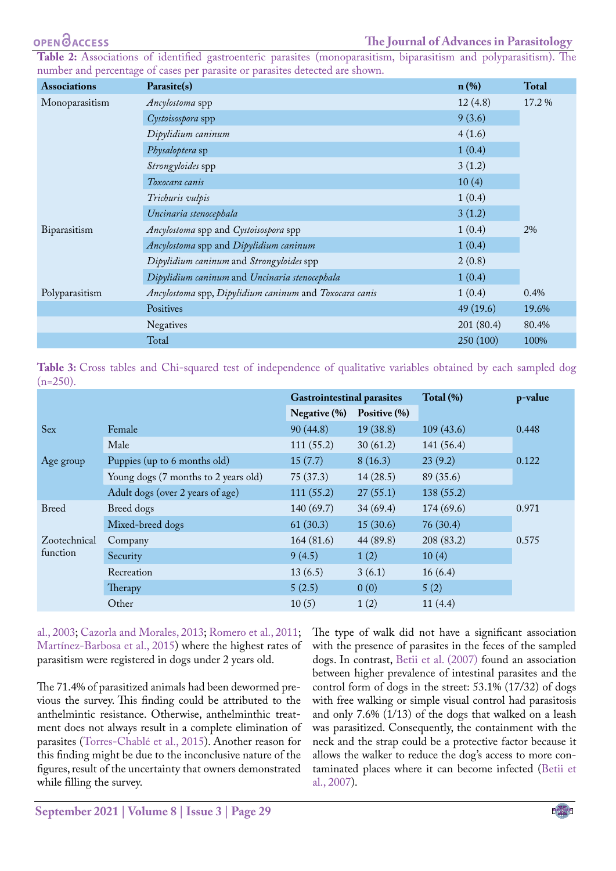#### **OPENOACCESS**

<span id="page-3-0"></span>**Table 2:** [Associations of identified gastroenteric parasites \(monoparasitism, biparasitism and polyparasitism\). The](#page-5-4) [number and percentage of cases per parasite or parasites detected are shown.](#page-5-4)

| <b>Associations</b> | Parasite(s)                                            | $n$ (%)   | <b>Total</b> |  |
|---------------------|--------------------------------------------------------|-----------|--------------|--|
| Monoparasitism      | Ancylostoma spp                                        | 12(4.8)   | 17.2 %       |  |
|                     | Cystoisospora spp                                      | 9(3.6)    |              |  |
|                     | Dipylidium caninum                                     | 4(1.6)    |              |  |
|                     | Physaloptera sp                                        | 1(0.4)    |              |  |
|                     | Strongyloides spp                                      | 3(1.2)    |              |  |
|                     | Toxocara canis                                         | 10(4)     |              |  |
|                     | Trichuris vulpis                                       | 1(0.4)    |              |  |
|                     | Uncinaria stenocephala                                 | 3(1.2)    |              |  |
| Biparasitism        | Ancylostoma spp and Cystoisospora spp                  | 1(0.4)    | 2%           |  |
|                     | Ancylostoma spp and Dipylidium caninum                 | 1(0.4)    |              |  |
|                     | Dipylidium caninum and Strongyloides spp               | 2(0.8)    |              |  |
|                     | Dipylidium caninum and Uncinaria stenocephala          | 1(0.4)    |              |  |
| Polyparasitism      | Ancylostoma spp, Dipylidium caninum and Toxocara canis | 1(0.4)    | 0.4%         |  |
|                     | Positives                                              | 49(19.6)  | 19.6%        |  |
|                     | <b>Negatives</b>                                       | 201(80.4) | 80.4%        |  |
|                     | Total                                                  | 250 (100) | 100%         |  |

<span id="page-3-1"></span>**Table 3:** [Cross tables and Chi-squared test of independence of qualitative variables obtained by each sampled dog](#page-5-4)  $(n=250)$ .

|                          |                                      | <b>Gastrointestinal parasites</b> |              | Total (%)  | p-value |
|--------------------------|--------------------------------------|-----------------------------------|--------------|------------|---------|
|                          |                                      | Negative (%)                      | Positive (%) |            |         |
| Sex                      | Female                               | 90(44.8)                          | 19(38.8)     | 109(43.6)  | 0.448   |
|                          | Male                                 | 111(55.2)                         | 30(61.2)     | 141(56.4)  |         |
| Age group                | Puppies (up to 6 months old)         | 15(7.7)                           | 8(16.3)      | 23(9.2)    | 0.122   |
|                          | Young dogs (7 months to 2 years old) | 75(37.3)                          | 14(28.5)     | 89 (35.6)  |         |
|                          | Adult dogs (over 2 years of age)     | 111(55.2)                         | 27(55.1)     | 138(55.2)  |         |
| <b>Breed</b>             | Breed dogs                           | 140(69.7)                         | 34(69.4)     | 174(69.6)  | 0.971   |
|                          | Mixed-breed dogs                     | 61(30.3)                          | 15(30.6)     | 76(30.4)   |         |
| Zootechnical<br>function | Company                              | 164(81.6)                         | 44 (89.8)    | 208 (83.2) | 0.575   |
|                          | Security                             | 9(4.5)                            | 1(2)         | 10(4)      |         |
|                          | Recreation                           | 13(6.5)                           | 3(6.1)       | 16(6.4)    |         |
|                          | Therapy                              | 5(2.5)                            | 0(0)         | 5(2)       |         |
|                          | Other                                | 10(5)                             | 1(2)         | 11(4.4)    |         |

[al., 2003;](#page-5-4) Cazorla and Morales, 2013; Romero et al., 2011; Martínez-Barbosa et al., 2015) where the highest rates of parasitism were registered in dogs under 2 years old.

The 71.4% of parasitized animals had been dewormed previous the survey. This finding could be attributed to the anthelmintic resistance. Otherwise, anthelminthic treatment does not always result in a complete elimination of parasites (Torres-Chablé et al., 2015). Another reason for this finding might be due to the inconclusive nature of the figures, result of the uncertainty that owners demonstrated while filling the survey.

The type of walk did not have a significant association with the presence of parasites in the feces of the sampled dogs. In contrast, [Betii et al. \(2007\)](#page-4-0) found an association between higher prevalence of intestinal parasites and the control form of dogs in the street: 53.1% (17/32) of dogs with free walking or simple visual control had parasitosis and only 7.6% (1/13) of the dogs that walked on a leash was parasitized. Consequently, the containment with the neck and the strap could be a protective factor because it allows the walker to reduce the dog's access to more contaminated places where it can become infected [\(Betii et](#page-4-0) [al., 2007](#page-4-0)).

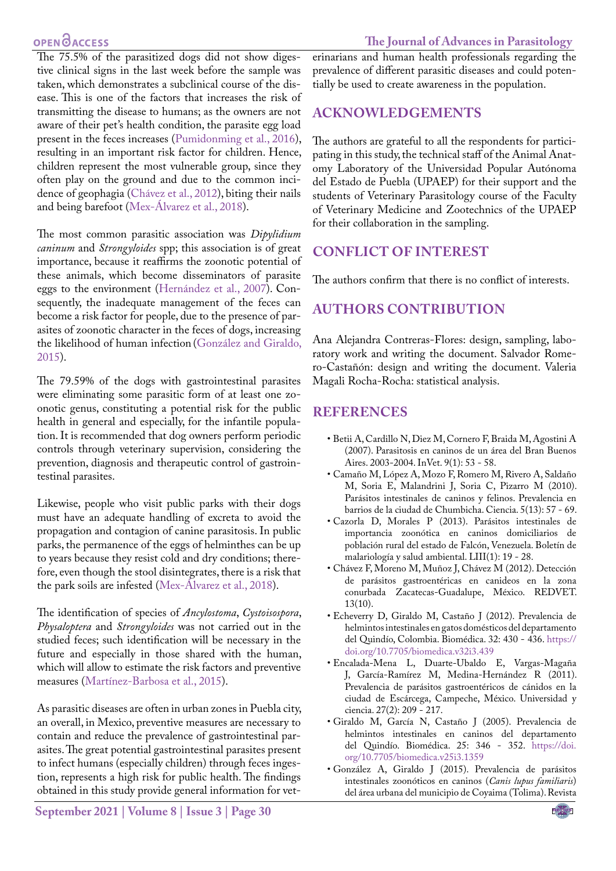## **OPEN**<sub>d</sub>

#### **The Journal of Advances in Parasitology**

The 75.5% of the parasitized dogs did not show digestive clinical signs in the last week before the sample was taken, which demonstrates a subclinical course of the disease. This is one of the factors that increases the risk of transmitting the disease to humans; as the owners are not aware of their pet's health condition, the parasite egg load present in the feces increases [\(Pumidonming et al., 2016](#page-5-5)), resulting in an important risk factor for children. Hence, children represent the most vulnerable group, since they often play on the ground and due to the common incidence of geophagia (Chávez et al., 2012), biting their nails and being barefoot (Mex-Álvarez et al., 2018).

The most common parasitic association was *Dipylidium caninum* and *Strongyloides* spp; this association is of great importance, because it reaffirms the zoonotic potential of these animals, which become disseminators of parasite eggs to the environment (Hernández et al., 2007). Consequently, the inadequate management of the feces can become a risk factor for people, due to the presence of parasites of zoonotic character in the feces of dogs, increasing the likelihood of human infection (González and Giraldo, 2015).

The 79.59% of the dogs with gastrointestinal parasites were eliminating some parasitic form of at least one zoonotic genus, constituting a potential risk for the public health in general and especially, for the infantile population. It is recommended that dog owners perform periodic controls through veterinary supervision, considering the prevention, diagnosis and therapeutic control of gastrointestinal parasites.

Likewise, people who visit public parks with their dogs must have an adequate handling of excreta to avoid the propagation and contagion of canine parasitosis. In public parks, the permanence of the eggs of helminthes can be up to years because they resist cold and dry conditions; therefore, even though the stool disintegrates, there is a risk that the park soils are infested (Mex-Álvarez et al., 2018).

The identification of species of *Ancylostoma*, *Cystoisospora*, *Physaloptera* and *Strongyloides* was not carried out in the studied feces; such identification will be necessary in the future and especially in those shared with the human, which will allow to estimate the risk factors and preventive measures (Martínez-Barbosa et al., 2015).

As parasitic diseases are often in urban zones in Puebla city, an overall, in Mexico, preventive measures are necessary to contain and reduce the prevalence of gastrointestinal parasites. The great potential gastrointestinal parasites present to infect humans (especially children) through feces ingestion, represents a high risk for public health. The findings obtained in this study provide general information for veterinarians and human health professionals regarding the prevalence of different parasitic diseases and could potentially be used to create awareness in the population.

## **ACKNOWLEDGEMENTS**

The authors are grateful to all the respondents for participating in this study, the technical staff of the Animal Anatomy Laboratory of the Universidad Popular Autónoma del Estado de Puebla (UPAEP) for their support and the students of Veterinary Parasitology course of the Faculty of Veterinary Medicine and Zootechnics of the UPAEP for their collaboration in the sampling.

# **CONFLICT OF INTEREST**

The authors confirm that there is no conflict of interests.

# **authors contribution**

Ana Alejandra Contreras-Flores: design, sampling, laboratory work and writing the document. Salvador Romero-Castañón: design and writing the document. Valeria Magali Rocha-Rocha: statistical analysis.

## **REFERENCES**

- <span id="page-4-0"></span>• Betii A, Cardillo N, Diez M, Cornero F, Braida M, Agostini A (2007). Parasitosis en caninos de un área del Bran Buenos Aires. 2003-2004. InVet. 9(1): 53 - 58.
- • Camaño M, López A, Mozo F, Romero M, Rivero A, Saldaño M, Soria E, Malandrini J, Soria C, Pizarro M (2010). Parásitos intestinales de caninos y felinos. Prevalencia en barrios de la ciudad de Chumbicha. Ciencia. 5(13): 57 - 69.
- • Cazorla D, Morales P (2013). Parásitos intestinales de importancia zoonótica en caninos domiciliarios de población rural del estado de Falcón, Venezuela. Boletín de malariología y salud ambiental. LIII(1): 19 - 28.
- • Chávez F, Moreno M, Muñoz J, Chávez M (2012). Detección de parásitos gastroentéricas en canideos en la zona conurbada Zacatecas-Guadalupe, México. REDVET. 13(10).
- • Echeverry D, Giraldo M, Castaño J (2012). Prevalencia de helmintos intestinales en gatos domésticos del departamento del Quindío, Colombia. Biomédica. 32: 430 - 436. [https://](https://doi.org/10.7705/biomedica.v32i3.439 ) [doi.org/10.7705/biomedica.v32i3.439](https://doi.org/10.7705/biomedica.v32i3.439 )
- • Encalada-Mena L, Duarte-Ubaldo E, Vargas-Magaña J, García-Ramírez M, Medina-Hernández R (2011). Prevalencia de parásitos gastroentéricos de cánidos en la ciudad de Escárcega, Campeche, México. Universidad y ciencia. 27(2): 209 - 217.
- • Giraldo M, García N, Castaño J (2005). Prevalencia de helmintos intestinales en caninos del departamento del Quindío. Biomédica. 25: 346 - 352. [https://doi.](https://doi.org/10.7705/biomedica.v25i3.1359 ) [org/10.7705/biomedica.v25i3.1359](https://doi.org/10.7705/biomedica.v25i3.1359 )
- • González A, Giraldo J (2015). Prevalencia de parásitos intestinales zoonóticos en caninos (*Canis lupus familiaris*) del área urbana del municipio de Coyaima (Tolima). Revista